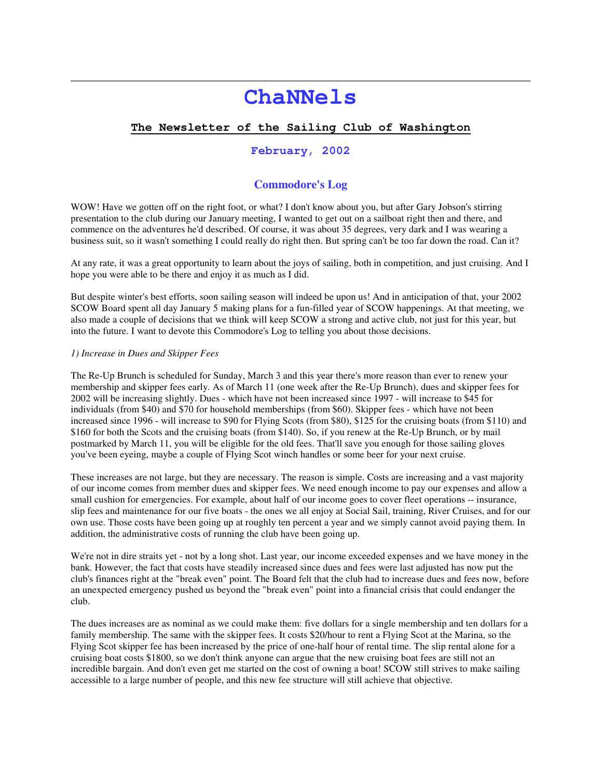# **ChaNNels**

# **The Newsletter of the Sailing Club of Washington**

# **February, 2002**

# **Commodore's Log**

WOW! Have we gotten off on the right foot, or what? I don't know about you, but after Gary Jobson's stirring presentation to the club during our January meeting, I wanted to get out on a sailboat right then and there, and commence on the adventures he'd described. Of course, it was about 35 degrees, very dark and I was wearing a business suit, so it wasn't something I could really do right then. But spring can't be too far down the road. Can it?

At any rate, it was a great opportunity to learn about the joys of sailing, both in competition, and just cruising. And I hope you were able to be there and enjoy it as much as I did.

But despite winter's best efforts, soon sailing season will indeed be upon us! And in anticipation of that, your 2002 SCOW Board spent all day January 5 making plans for a fun-filled year of SCOW happenings. At that meeting, we also made a couple of decisions that we think will keep SCOW a strong and active club, not just for this year, but into the future. I want to devote this Commodore's Log to telling you about those decisions.

#### *1) Increase in Dues and Skipper Fees*

The Re-Up Brunch is scheduled for Sunday, March 3 and this year there's more reason than ever to renew your membership and skipper fees early. As of March 11 (one week after the Re-Up Brunch), dues and skipper fees for 2002 will be increasing slightly. Dues - which have not been increased since 1997 - will increase to \$45 for individuals (from \$40) and \$70 for household memberships (from \$60). Skipper fees - which have not been increased since 1996 - will increase to \$90 for Flying Scots (from \$80), \$125 for the cruising boats (from \$110) and \$160 for both the Scots and the cruising boats (from \$140). So, if you renew at the Re-Up Brunch, or by mail postmarked by March 11, you will be eligible for the old fees. That'll save you enough for those sailing gloves you've been eyeing, maybe a couple of Flying Scot winch handles or some beer for your next cruise.

These increases are not large, but they are necessary. The reason is simple. Costs are increasing and a vast majority of our income comes from member dues and skipper fees. We need enough income to pay our expenses and allow a small cushion for emergencies. For example, about half of our income goes to cover fleet operations -- insurance, slip fees and maintenance for our five boats - the ones we all enjoy at Social Sail, training, River Cruises, and for our own use. Those costs have been going up at roughly ten percent a year and we simply cannot avoid paying them. In addition, the administrative costs of running the club have been going up.

We're not in dire straits yet - not by a long shot. Last year, our income exceeded expenses and we have money in the bank. However, the fact that costs have steadily increased since dues and fees were last adjusted has now put the club's finances right at the "break even" point. The Board felt that the club had to increase dues and fees now, before an unexpected emergency pushed us beyond the "break even" point into a financial crisis that could endanger the club.

The dues increases are as nominal as we could make them: five dollars for a single membership and ten dollars for a family membership. The same with the skipper fees. It costs \$20/hour to rent a Flying Scot at the Marina, so the Flying Scot skipper fee has been increased by the price of one-half hour of rental time. The slip rental alone for a cruising boat costs \$1800, so we don't think anyone can argue that the new cruising boat fees are still not an incredible bargain. And don't even get me started on the cost of owning a boat! SCOW still strives to make sailing accessible to a large number of people, and this new fee structure will still achieve that objective.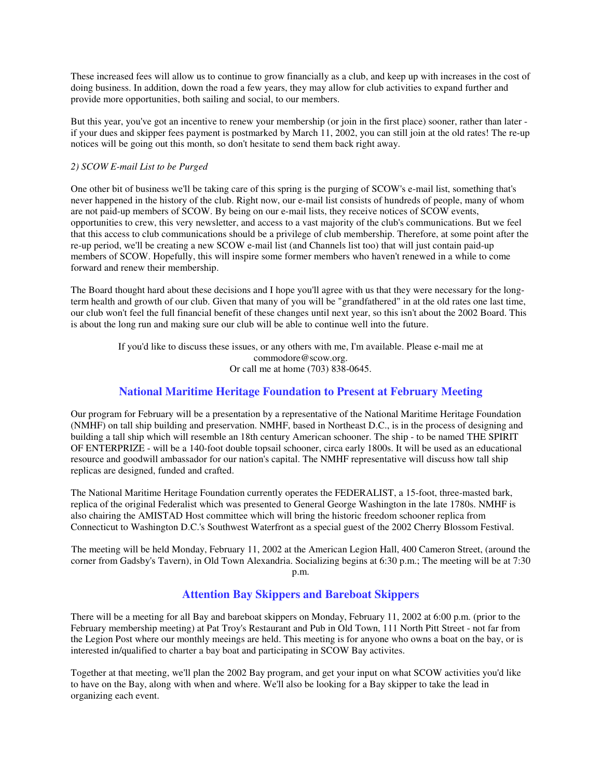These increased fees will allow us to continue to grow financially as a club, and keep up with increases in the cost of doing business. In addition, down the road a few years, they may allow for club activities to expand further and provide more opportunities, both sailing and social, to our members.

But this year, you've got an incentive to renew your membership (or join in the first place) sooner, rather than later if your dues and skipper fees payment is postmarked by March 11, 2002, you can still join at the old rates! The re-up notices will be going out this month, so don't hesitate to send them back right away.

#### *2) SCOW E-mail List to be Purged*

One other bit of business we'll be taking care of this spring is the purging of SCOW's e-mail list, something that's never happened in the history of the club. Right now, our e-mail list consists of hundreds of people, many of whom are not paid-up members of SCOW. By being on our e-mail lists, they receive notices of SCOW events, opportunities to crew, this very newsletter, and access to a vast majority of the club's communications. But we feel that this access to club communications should be a privilege of club membership. Therefore, at some point after the re-up period, we'll be creating a new SCOW e-mail list (and Channels list too) that will just contain paid-up members of SCOW. Hopefully, this will inspire some former members who haven't renewed in a while to come forward and renew their membership.

The Board thought hard about these decisions and I hope you'll agree with us that they were necessary for the longterm health and growth of our club. Given that many of you will be "grandfathered" in at the old rates one last time, our club won't feel the full financial benefit of these changes until next year, so this isn't about the 2002 Board. This is about the long run and making sure our club will be able to continue well into the future.

> If you'd like to discuss these issues, or any others with me, I'm available. Please e-mail me at commodore@scow.org. Or call me at home (703) 838-0645.

# **National Maritime Heritage Foundation to Present at February Meeting**

Our program for February will be a presentation by a representative of the National Maritime Heritage Foundation (NMHF) on tall ship building and preservation. NMHF, based in Northeast D.C., is in the process of designing and building a tall ship which will resemble an 18th century American schooner. The ship - to be named THE SPIRIT OF ENTERPRIZE - will be a 140-foot double topsail schooner, circa early 1800s. It will be used as an educational resource and goodwill ambassador for our nation's capital. The NMHF representative will discuss how tall ship replicas are designed, funded and crafted.

The National Maritime Heritage Foundation currently operates the FEDERALIST, a 15-foot, three-masted bark, replica of the original Federalist which was presented to General George Washington in the late 1780s. NMHF is also chairing the AMISTAD Host committee which will bring the historic freedom schooner replica from Connecticut to Washington D.C.'s Southwest Waterfront as a special guest of the 2002 Cherry Blossom Festival.

The meeting will be held Monday, February 11, 2002 at the American Legion Hall, 400 Cameron Street, (around the corner from Gadsby's Tavern), in Old Town Alexandria. Socializing begins at 6:30 p.m.; The meeting will be at 7:30 p.m.

# **Attention Bay Skippers and Bareboat Skippers**

There will be a meeting for all Bay and bareboat skippers on Monday, February 11, 2002 at 6:00 p.m. (prior to the February membership meeting) at Pat Troy's Restaurant and Pub in Old Town, 111 North Pitt Street - not far from the Legion Post where our monthly meeings are held. This meeting is for anyone who owns a boat on the bay, or is interested in/qualified to charter a bay boat and participating in SCOW Bay activites.

Together at that meeting, we'll plan the 2002 Bay program, and get your input on what SCOW activities you'd like to have on the Bay, along with when and where. We'll also be looking for a Bay skipper to take the lead in organizing each event.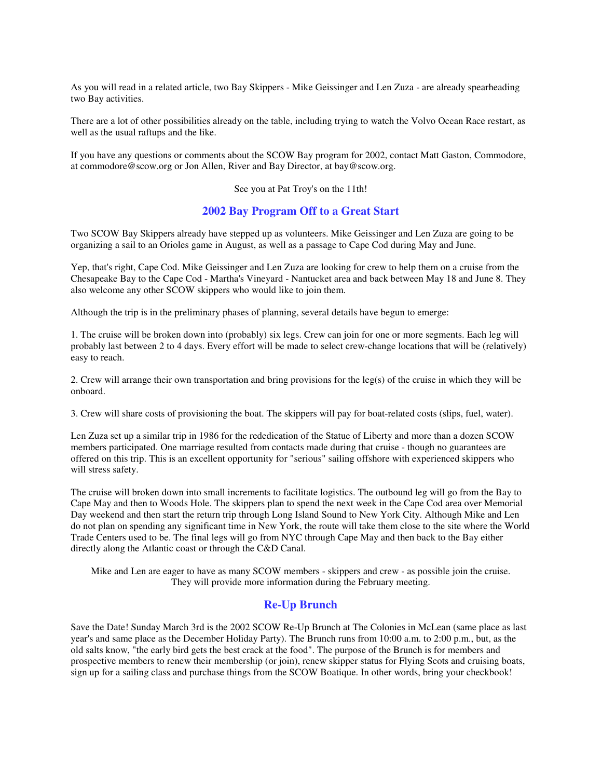As you will read in a related article, two Bay Skippers - Mike Geissinger and Len Zuza - are already spearheading two Bay activities.

There are a lot of other possibilities already on the table, including trying to watch the Volvo Ocean Race restart, as well as the usual raftups and the like.

If you have any questions or comments about the SCOW Bay program for 2002, contact Matt Gaston, Commodore, at commodore@scow.org or Jon Allen, River and Bay Director, at bay@scow.org.

See you at Pat Troy's on the 11th!

### **2002 Bay Program Off to a Great Start**

Two SCOW Bay Skippers already have stepped up as volunteers. Mike Geissinger and Len Zuza are going to be organizing a sail to an Orioles game in August, as well as a passage to Cape Cod during May and June.

Yep, that's right, Cape Cod. Mike Geissinger and Len Zuza are looking for crew to help them on a cruise from the Chesapeake Bay to the Cape Cod - Martha's Vineyard - Nantucket area and back between May 18 and June 8. They also welcome any other SCOW skippers who would like to join them.

Although the trip is in the preliminary phases of planning, several details have begun to emerge:

1. The cruise will be broken down into (probably) six legs. Crew can join for one or more segments. Each leg will probably last between 2 to 4 days. Every effort will be made to select crew-change locations that will be (relatively) easy to reach.

2. Crew will arrange their own transportation and bring provisions for the leg(s) of the cruise in which they will be onboard.

3. Crew will share costs of provisioning the boat. The skippers will pay for boat-related costs (slips, fuel, water).

Len Zuza set up a similar trip in 1986 for the rededication of the Statue of Liberty and more than a dozen SCOW members participated. One marriage resulted from contacts made during that cruise - though no guarantees are offered on this trip. This is an excellent opportunity for "serious" sailing offshore with experienced skippers who will stress safety.

The cruise will broken down into small increments to facilitate logistics. The outbound leg will go from the Bay to Cape May and then to Woods Hole. The skippers plan to spend the next week in the Cape Cod area over Memorial Day weekend and then start the return trip through Long Island Sound to New York City. Although Mike and Len do not plan on spending any significant time in New York, the route will take them close to the site where the World Trade Centers used to be. The final legs will go from NYC through Cape May and then back to the Bay either directly along the Atlantic coast or through the C&D Canal.

Mike and Len are eager to have as many SCOW members - skippers and crew - as possible join the cruise. They will provide more information during the February meeting.

# **Re-Up Brunch**

Save the Date! Sunday March 3rd is the 2002 SCOW Re-Up Brunch at The Colonies in McLean (same place as last year's and same place as the December Holiday Party). The Brunch runs from 10:00 a.m. to 2:00 p.m., but, as the old salts know, "the early bird gets the best crack at the food". The purpose of the Brunch is for members and prospective members to renew their membership (or join), renew skipper status for Flying Scots and cruising boats, sign up for a sailing class and purchase things from the SCOW Boatique. In other words, bring your checkbook!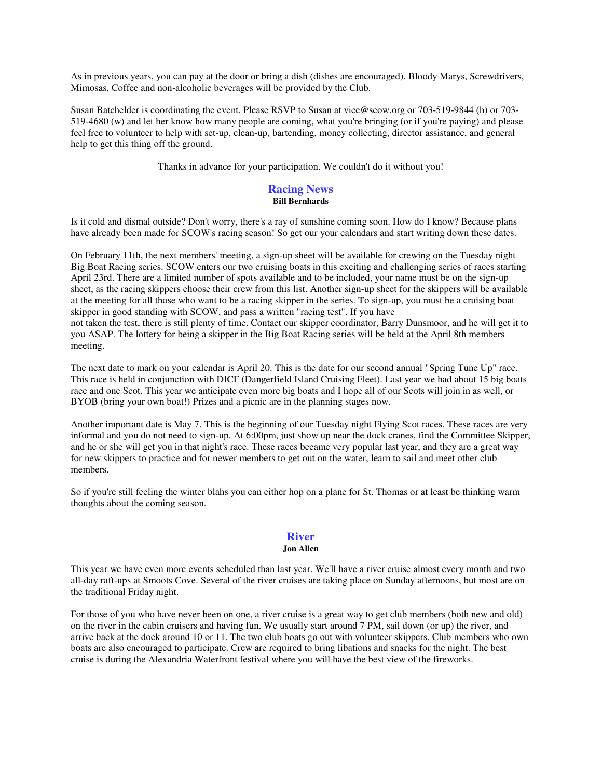As in previous years, you can pay at the door or bring a dish (dishes are encouraged). Bloody Marys, Screwdrivers, Mimosas, Coffee and non-alcoholic beverages will be provided by the Club.

Susan Batchelder is coordinating the event. Please RSVP to Susan at vice@scow.org or 703-519-9844 (h) or 703- 519-4680 (w) and let her know how many people are coming, what you're bringing (or if you're paying) and please feel free to volunteer to help with set-up, clean-up, bartending, money collecting, director assistance, and general help to get this thing off the ground.

Thanks in advance for your participation. We couldn't do it without you!

#### **Racing News Bill Bernhards**

Is it cold and dismal outside? Don't worry, there's a ray of sunshine coming soon. How do I know? Because plans have already been made for SCOW's racing season! So get our your calendars and start writing down these dates.

On February 11th, the next members' meeting, a sign-up sheet will be available for crewing on the Tuesday night Big Boat Racing series. SCOW enters our two cruising boats in this exciting and challenging series of races starting April 23rd. There are a limited number of spots available and to be included, your name must be on the sign-up sheet, as the racing skippers choose their crew from this list. Another sign-up sheet for the skippers will be available at the meeting for all those who want to be a racing skipper in the series. To sign-up, you must be a cruising boat skipper in good standing with SCOW, and pass a written "racing test". If you have not taken the test, there is still plenty of time. Contact our skipper coordinator, Barry Dunsmoor, and he will get it to you ASAP. The lottery for being a skipper in the Big Boat Racing series will be held at the April 8th members

The next date to mark on your calendar is April 20. This is the date for our second annual "Spring Tune Up" race. This race is held in conjunction with DICF (Dangerfield Island Cruising Fleet). Last year we had about 15 big boats race and one Scot. This year we anticipate even more big boats and I hope all of our Scots will join in as well, or BYOB (bring your own boat!) Prizes and a picnic are in the planning stages now.

meeting.

Another important date is May 7. This is the beginning of our Tuesday night Flying Scot races. These races are very informal and you do not need to sign-up. At 6:00pm, just show up near the dock cranes, find the Committee Skipper, and he or she will get you in that night's race. These races became very popular last year, and they are a great way for new skippers to practice and for newer members to get out on the water, learn to sail and meet other club members.

So if you're still feeling the winter blahs you can either hop on a plane for St. Thomas or at least be thinking warm thoughts about the coming season.

#### **River**

#### **Jon Allen**

This year we have even more events scheduled than last year. We'll have a river cruise almost every month and two all-day raft-ups at Smoots Cove. Several of the river cruises are taking place on Sunday afternoons, but most are on the traditional Friday night.

For those of you who have never been on one, a river cruise is a great way to get club members (both new and old) on the river in the cabin cruisers and having fun. We usually start around 7 PM, sail down (or up) the river, and arrive back at the dock around 10 or 11. The two club boats go out with volunteer skippers. Club members who own boats are also encouraged to participate. Crew are required to bring libations and snacks for the night. The best cruise is during the Alexandria Waterfront festival where you will have the best view of the fireworks.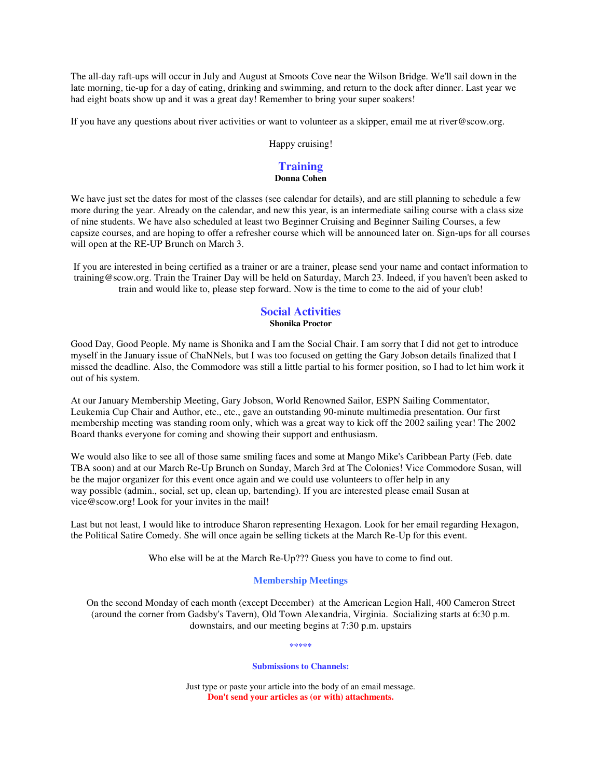The all-day raft-ups will occur in July and August at Smoots Cove near the Wilson Bridge. We'll sail down in the late morning, tie-up for a day of eating, drinking and swimming, and return to the dock after dinner. Last year we had eight boats show up and it was a great day! Remember to bring your super soakers!

If you have any questions about river activities or want to volunteer as a skipper, email me at river@scow.org.

Happy cruising!

# **Training**

# **Donna Cohen**

We have just set the dates for most of the classes (see calendar for details), and are still planning to schedule a few more during the year. Already on the calendar, and new this year, is an intermediate sailing course with a class size of nine students. We have also scheduled at least two Beginner Cruising and Beginner Sailing Courses, a few capsize courses, and are hoping to offer a refresher course which will be announced later on. Sign-ups for all courses will open at the RE-UP Brunch on March 3.

If you are interested in being certified as a trainer or are a trainer, please send your name and contact information to training@scow.org. Train the Trainer Day will be held on Saturday, March 23. Indeed, if you haven't been asked to train and would like to, please step forward. Now is the time to come to the aid of your club!

# **Social Activities Shonika Proctor**

Good Day, Good People. My name is Shonika and I am the Social Chair. I am sorry that I did not get to introduce myself in the January issue of ChaNNels, but I was too focused on getting the Gary Jobson details finalized that I missed the deadline. Also, the Commodore was still a little partial to his former position, so I had to let him work it out of his system.

At our January Membership Meeting, Gary Jobson, World Renowned Sailor, ESPN Sailing Commentator, Leukemia Cup Chair and Author, etc., etc., gave an outstanding 90-minute multimedia presentation. Our first membership meeting was standing room only, which was a great way to kick off the 2002 sailing year! The 2002 Board thanks everyone for coming and showing their support and enthusiasm.

We would also like to see all of those same smiling faces and some at Mango Mike's Caribbean Party (Feb. date TBA soon) and at our March Re-Up Brunch on Sunday, March 3rd at The Colonies! Vice Commodore Susan, will be the major organizer for this event once again and we could use volunteers to offer help in any way possible (admin., social, set up, clean up, bartending). If you are interested please email Susan at vice@scow.org! Look for your invites in the mail!

Last but not least, I would like to introduce Sharon representing Hexagon. Look for her email regarding Hexagon, the Political Satire Comedy. She will once again be selling tickets at the March Re-Up for this event.

Who else will be at the March Re-Up??? Guess you have to come to find out.

#### **Membership Meetings**

On the second Monday of each month (except December) at the American Legion Hall, 400 Cameron Street (around the corner from Gadsby's Tavern), Old Town Alexandria, Virginia. Socializing starts at 6:30 p.m. downstairs, and our meeting begins at 7:30 p.m. upstairs

**\*\*\*\*\***

**Submissions to Channels:**

Just type or paste your article into the body of an email message. **Don't send your articles as (or with) attachments.**